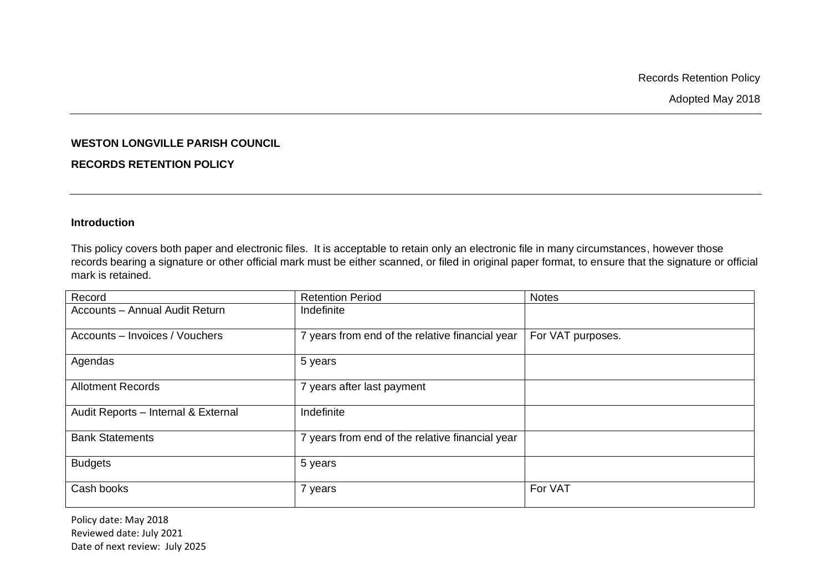Records Retention Policy

Adopted May 2018

## **WESTON LONGVILLE PARISH COUNCIL**

## **RECORDS RETENTION POLICY**

## **Introduction**

This policy covers both paper and electronic files. It is acceptable to retain only an electronic file in many circumstances, however those records bearing a signature or other official mark must be either scanned, or filed in original paper format, to ensure that the signature or official mark is retained.

| Record                                | <b>Retention Period</b>                         | <b>Notes</b>      |
|---------------------------------------|-------------------------------------------------|-------------------|
| <b>Accounts - Annual Audit Return</b> | Indefinite                                      |                   |
| Accounts - Invoices / Vouchers        | 7 years from end of the relative financial year | For VAT purposes. |
| Agendas                               | 5 years                                         |                   |
| <b>Allotment Records</b>              | 7 years after last payment                      |                   |
| Audit Reports - Internal & External   | Indefinite                                      |                   |
| <b>Bank Statements</b>                | 7 years from end of the relative financial year |                   |
| <b>Budgets</b>                        | 5 years                                         |                   |
| Cash books                            | 7 years                                         | For VAT           |

Policy date: May 2018 Reviewed date: July 2021 Date of next review: July 2025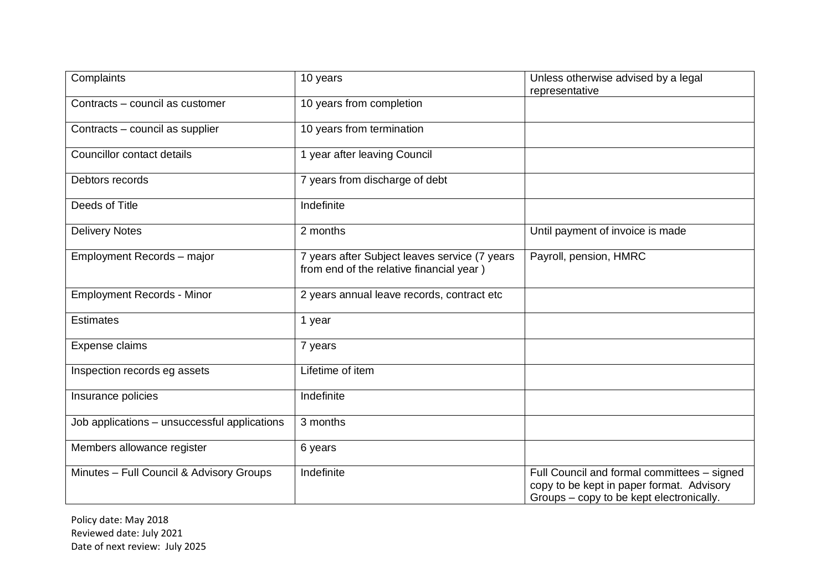| Complaints                                   | 10 years                                                                                  | Unless otherwise advised by a legal<br>representative                                                                                |
|----------------------------------------------|-------------------------------------------------------------------------------------------|--------------------------------------------------------------------------------------------------------------------------------------|
| Contracts - council as customer              | 10 years from completion                                                                  |                                                                                                                                      |
| Contracts - council as supplier              | 10 years from termination                                                                 |                                                                                                                                      |
| Councillor contact details                   | 1 year after leaving Council                                                              |                                                                                                                                      |
| Debtors records                              | 7 years from discharge of debt                                                            |                                                                                                                                      |
| Deeds of Title                               | Indefinite                                                                                |                                                                                                                                      |
| <b>Delivery Notes</b>                        | 2 months                                                                                  | Until payment of invoice is made                                                                                                     |
| Employment Records - major                   | 7 years after Subject leaves service (7 years<br>from end of the relative financial year) | Payroll, pension, HMRC                                                                                                               |
| <b>Employment Records - Minor</b>            | 2 years annual leave records, contract etc                                                |                                                                                                                                      |
| <b>Estimates</b>                             | 1 year                                                                                    |                                                                                                                                      |
| Expense claims                               | 7 years                                                                                   |                                                                                                                                      |
| Inspection records eg assets                 | Lifetime of item                                                                          |                                                                                                                                      |
| Insurance policies                           | Indefinite                                                                                |                                                                                                                                      |
| Job applications - unsuccessful applications | 3 months                                                                                  |                                                                                                                                      |
| Members allowance register                   | 6 years                                                                                   |                                                                                                                                      |
| Minutes - Full Council & Advisory Groups     | Indefinite                                                                                | Full Council and formal committees - signed<br>copy to be kept in paper format. Advisory<br>Groups - copy to be kept electronically. |

Policy date: May 2018 Reviewed date: July 2021 Date of next review: July 2025